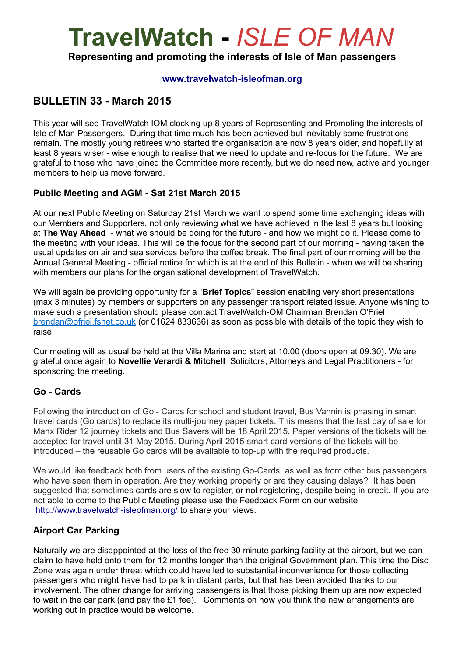# **TravelWatch -** *ISLE OF MAN*

**Representing and promoting the interests of Isle of Man passengers**

#### **[www.travelwatch-isleofman.org](http://www.travelwatch-isleofman.org/)**

### **BULLETIN 33 - March 2015**

This year will see TravelWatch IOM clocking up 8 years of Representing and Promoting the interests of Isle of Man Passengers. During that time much has been achieved but inevitably some frustrations remain. The mostly young retirees who started the organisation are now 8 years older, and hopefully at least 8 years wiser - wise enough to realise that we need to update and re-focus for the future. We are grateful to those who have joined the Committee more recently, but we do need new, active and younger members to help us move forward.

#### **Public Meeting and AGM - Sat 21st March 2015**

At our next Public Meeting on Saturday 21st March we want to spend some time exchanging ideas with our Members and Supporters, not only reviewing what we have achieved in the last 8 years but looking at **The Way Ahead** - what we should be doing for the future - and how we might do it. Please come to the meeting with your ideas. This will be the focus for the second part of our morning - having taken the usual updates on air and sea services before the coffee break. The final part of our morning will be the Annual General Meeting - official notice for which is at the end of this Bulletin - when we will be sharing with members our plans for the organisational development of TravelWatch.

We will again be providing opportunity for a "**Brief Topics**" session enabling very short presentations (max 3 minutes) by members or supporters on any passenger transport related issue. Anyone wishing to make such a presentation should please contact TravelWatch-OM Chairman Brendan O'Friel [brendan@ofriel.fsnet.co.uk](mailto:brendan@ofriel.fsnet.co.uk) (or 01624 833636) as soon as possible with details of the topic they wish to raise.

Our meeting will as usual be held at the Villa Marina and start at 10.00 (doors open at 09.30). We are grateful once again to **Novellie Verardi & Mitchell** Solicitors, Attorneys and Legal Practitioners - for sponsoring the meeting.

#### **Go - Cards**

Following the introduction of Go - Cards for school and student travel, Bus Vannin is phasing in smart travel cards (Go cards) to replace its multi-journey paper tickets. This means that the last day of sale for Manx Rider 12 journey tickets and Bus Savers will be 18 April 2015. Paper versions of the tickets will be accepted for travel until 31 May 2015. During April 2015 smart card versions of the tickets will be introduced – the reusable Go cards will be available to top-up with the required products.

We would like feedback both from users of the existing Go-Cards as well as from other bus passengers who have seen them in operation. Are they working properly or are they causing delays? It has been suggested that sometimes cards are slow to register, or not registering, despite being in credit. If you are not able to come to the Public Meeting please use the Feedback Form on our website <http://www.travelwatch-isleofman.org/>to share your views.

#### **Airport Car Parking**

Naturally we are disappointed at the loss of the free 30 minute parking facility at the airport, but we can claim to have held onto them for 12 months longer than the original Government plan. This time the Disc Zone was again under threat which could have led to substantial inconvenience for those collecting passengers who might have had to park in distant parts, but that has been avoided thanks to our involvement. The other change for arriving passengers is that those picking them up are now expected to wait in the car park (and pay the £1 fee). Comments on how you think the new arrangements are working out in practice would be welcome.